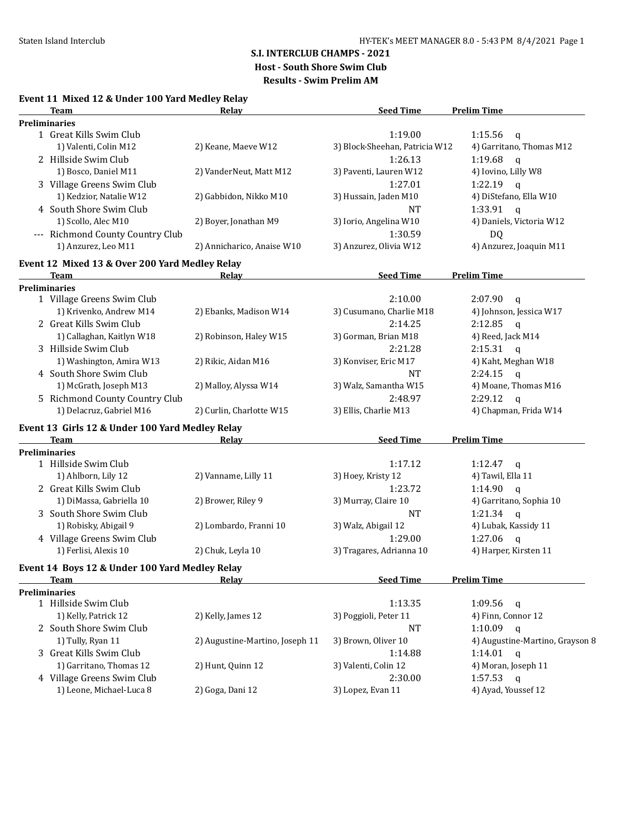# **S.I. INTERCLUB CHAMPS - 2021**

**Host - South Shore Swim Club**

**Results - Swim Prelim AM**

## **Event 11 Mixed 12 & Under 100 Yard Medley Relay**

| Team                                            | Relay                           | <b>Seed Time</b>                | <b>Prelim Time</b>                 |
|-------------------------------------------------|---------------------------------|---------------------------------|------------------------------------|
| <b>Preliminaries</b>                            |                                 |                                 |                                    |
| 1 Great Kills Swim Club                         |                                 | 1:19.00                         | 1:15.56<br>$\mathbf q$             |
| 1) Valenti, Colin M12                           | 2) Keane, Maeve W12             | 3) Block-Sheehan, Patricia W12  | 4) Garritano, Thomas M12           |
| 2 Hillside Swim Club                            |                                 | 1:26.13                         | 1:19.68<br>$\mathsf{q}$            |
| 1) Bosco, Daniel M11                            | 2) VanderNeut, Matt M12         | 3) Paventi, Lauren W12          | 4) Iovino, Lilly W8                |
| 3 Village Greens Swim Club                      |                                 | 1:27.01                         | 1:22.19<br>$\mathfrak{a}$          |
| 1) Kedzior, Natalie W12                         | 2) Gabbidon, Nikko M10          | 3) Hussain, Jaden M10           | 4) DiStefano, Ella W10             |
| 4 South Shore Swim Club                         |                                 | <b>NT</b>                       | $1:33.91$ q                        |
| 1) Scollo, Alec M10                             | 2) Boyer, Jonathan M9           | 3) Iorio, Angelina W10          | 4) Daniels, Victoria W12           |
| --- Richmond County Country Club                |                                 | 1:30.59                         | DQ                                 |
| 1) Anzurez, Leo M11                             | 2) Annicharico, Anaise W10      | 3) Anzurez, Olivia W12          | 4) Anzurez, Joaquin M11            |
|                                                 |                                 |                                 |                                    |
| Event 12 Mixed 13 & Over 200 Yard Medley Relay  |                                 |                                 |                                    |
| Team                                            | <u>Relav</u>                    | <b>Seed Time</b>                | <b>Prelim Time</b>                 |
| <b>Preliminaries</b>                            |                                 |                                 |                                    |
| 1 Village Greens Swim Club                      |                                 | 2:10.00                         | 2:07.90<br>$\mathbf{q}$            |
| 1) Krivenko, Andrew M14                         | 2) Ebanks, Madison W14          | 3) Cusumano, Charlie M18        | 4) Johnson, Jessica W17            |
| 2 Great Kills Swim Club                         |                                 | 2:14.25                         | 2:12.85<br>$\mathbf{q}$            |
| 1) Callaghan, Kaitlyn W18                       | 2) Robinson, Haley W15          | 3) Gorman, Brian M18            | 4) Reed, Jack M14                  |
| 3 Hillside Swim Club                            |                                 | 2:21.28                         | $2:15.31$ q                        |
| 1) Washington, Amira W13                        | 2) Rikic, Aidan M16             | 3) Konviser, Eric M17           | 4) Kaht, Meghan W18                |
| 4 South Shore Swim Club                         |                                 | NT                              | 2:24.15<br>$\mathbf{q}$            |
| 1) McGrath, Joseph M13                          | 2) Malloy, Alyssa W14           | 3) Walz, Samantha W15           | 4) Moane, Thomas M16               |
| 5 Richmond County Country Club                  |                                 | 2:48.97                         | 2:29.12<br>$\mathfrak{a}$          |
| 1) Delacruz, Gabriel M16                        | 2) Curlin, Charlotte W15        | 3) Ellis, Charlie M13           | 4) Chapman, Frida W14              |
|                                                 |                                 |                                 |                                    |
| Event 13 Girls 12 & Under 100 Yard Medley Relay |                                 |                                 |                                    |
| Team                                            | Relay                           | <b>Seed Time</b>                | <b>Prelim Time</b>                 |
| <b>Preliminaries</b>                            |                                 |                                 |                                    |
| 1 Hillside Swim Club                            |                                 | 1:17.12                         | $1:12.47$ q                        |
| 1) Ahlborn, Lily 12                             | 2) Vanname, Lilly 11            | 3) Hoey, Kristy 12              | 4) Tawil, Ella 11                  |
| 2 Great Kills Swim Club                         |                                 | 1:23.72                         | 1:14.90<br>$\mathbf{q}$            |
| 1) DiMassa, Gabriella 10                        | 2) Brower, Riley 9              | 3) Murray, Claire 10            | 4) Garritano, Sophia 10            |
| 3 South Shore Swim Club                         |                                 | NT                              | 1:21.34 $q$                        |
| 1) Robisky, Abigail 9                           | 2) Lombardo, Franni 10          | 3) Walz, Abigail 12             | 4) Lubak, Kassidy 11               |
| 4 Village Greens Swim Club                      |                                 | 1:29.00                         | 1:27.06<br>$\alpha$                |
| 1) Ferlisi, Alexis 10                           | 2) Chuk, Leyla 10               | 3) Tragares, Adrianna 10        | 4) Harper, Kirsten 11              |
| Event 14 Boys 12 & Under 100 Yard Medley Relay  |                                 |                                 |                                    |
| <b>Team</b>                                     | Relay                           | <b>Seed Time</b>                | <b>Prelim Time</b>                 |
| <b>Preliminaries</b>                            |                                 |                                 |                                    |
| 1 Hillside Swim Club                            |                                 | 1:13.35                         | 1:09.56<br>q                       |
| 1) Kelly, Patrick 12                            | 2) Kelly, James 12              | 3) Poggioli, Peter 11           | 4) Finn, Connor 12                 |
| 2 South Shore Swim Club                         |                                 | NT                              | 1:10.09<br>$\mathbf{q}$            |
| 1) Tully, Ryan 11                               | 2) Augustine-Martino, Joseph 11 | 3) Brown, Oliver 10             | 4) Augustine-Martino, Grayson 8    |
| 3 Great Kills Swim Club                         |                                 |                                 | 1:14.01                            |
| 1) Garritano, Thomas 12                         | 2) Hunt, Quinn 12               | 1:14.88<br>3) Valenti, Colin 12 | $\mathbf q$<br>4) Moran, Joseph 11 |
|                                                 |                                 |                                 |                                    |
| 4 Village Greens Swim Club                      |                                 | 2:30.00                         | 1:57.53<br>$\mathbf{q}$            |
| 1) Leone, Michael-Luca 8                        | 2) Goga, Dani 12                | 3) Lopez, Evan 11               | 4) Ayad, Youssef 12                |
|                                                 |                                 |                                 |                                    |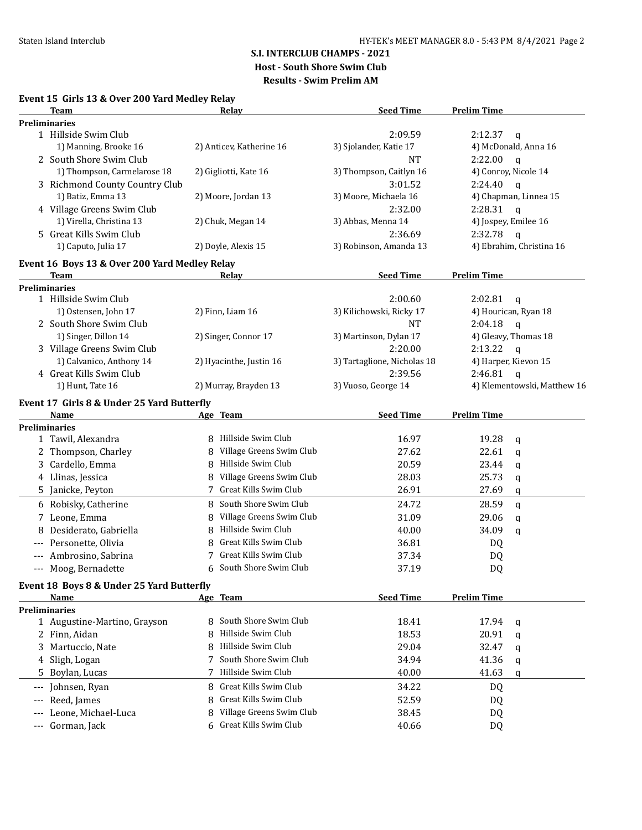# **S.I. INTERCLUB CHAMPS - 2021**

**Host - South Shore Swim Club**

**Results - Swim Prelim AM**

## **Event 15 Girls 13 & Over 200 Yard Medley Relay**

|          | <b>Team</b>                                   |   | Relay                                          | <b>Seed Time</b>            | <b>Prelim Time</b> |                             |
|----------|-----------------------------------------------|---|------------------------------------------------|-----------------------------|--------------------|-----------------------------|
|          | <b>Preliminaries</b>                          |   |                                                |                             |                    |                             |
|          | 1 Hillside Swim Club                          |   |                                                | 2:09.59                     | 2:12.37            | $\mathbf q$                 |
|          | 1) Manning, Brooke 16                         |   | 2) Anticev, Katherine 16                       | 3) Sjolander, Katie 17      |                    | 4) McDonald, Anna 16        |
|          | 2 South Shore Swim Club                       |   |                                                | <b>NT</b>                   | 2:22.00            | $\mathfrak{a}$              |
|          | 1) Thompson, Carmelarose 18                   |   | 2) Gigliotti, Kate 16                          | 3) Thompson, Caitlyn 16     |                    | 4) Conroy, Nicole 14        |
|          | 3 Richmond County Country Club                |   |                                                | 3:01.52                     | 2:24.40            | $\mathbf{q}$                |
|          | 1) Batiz, Emma 13                             |   | 2) Moore, Jordan 13                            | 3) Moore, Michaela 16       |                    | 4) Chapman, Linnea 15       |
|          | 4 Village Greens Swim Club                    |   |                                                | 2:32.00                     | 2:28.31            | $\mathbf{q}$                |
|          | 1) Virella, Christina 13                      |   | 2) Chuk, Megan 14                              | 3) Abbas, Menna 14          |                    | 4) Jospey, Emilee 16        |
|          | 5 Great Kills Swim Club                       |   |                                                | 2:36.69                     | 2:32.78            | $\mathbf{q}$                |
|          | 1) Caputo, Julia 17                           |   | 2) Doyle, Alexis 15                            | 3) Robinson, Amanda 13      |                    | 4) Ebrahim, Christina 16    |
|          | Event 16 Boys 13 & Over 200 Yard Medley Relay |   |                                                |                             |                    |                             |
|          | <b>Team</b>                                   |   | Relay                                          | <b>Seed Time</b>            | <b>Prelim Time</b> |                             |
|          | <b>Preliminaries</b>                          |   |                                                |                             |                    |                             |
|          | 1 Hillside Swim Club                          |   |                                                | 2:00.60                     | 2:02.81            | $\mathbf{q}$                |
|          | 1) Ostensen, John 17                          |   | 2) Finn, Liam 16                               | 3) Kilichowski, Ricky 17    |                    | 4) Hourican, Ryan 18        |
|          | 2 South Shore Swim Club                       |   |                                                | <b>NT</b>                   | 2:04.18            | $\mathbf{q}$                |
|          | 1) Singer, Dillon 14                          |   | 2) Singer, Connor 17                           | 3) Martinson, Dylan 17      |                    | 4) Gleavy, Thomas 18        |
|          | 3 Village Greens Swim Club                    |   |                                                | 2:20.00                     | 2:13.22            | $\mathbf{q}$                |
|          | 1) Calvanico, Anthony 14                      |   | 2) Hyacinthe, Justin 16                        | 3) Tartaglione, Nicholas 18 |                    | 4) Harper, Kievon 15        |
|          | 4 Great Kills Swim Club                       |   |                                                | 2:39.56                     | 2:46.81            | $\mathsf{q}$                |
|          | 1) Hunt, Tate 16                              |   | 2) Murray, Brayden 13                          | 3) Vuoso, George 14         |                    | 4) Klementowski, Matthew 16 |
|          |                                               |   |                                                |                             |                    |                             |
|          | Event 17 Girls 8 & Under 25 Yard Butterfly    |   |                                                |                             |                    |                             |
|          | Name                                          |   | Age Team                                       | <b>Seed Time</b>            | <b>Prelim Time</b> |                             |
|          | <b>Preliminaries</b>                          |   | Hillside Swim Club                             |                             |                    |                             |
|          | 1 Tawil, Alexandra                            |   |                                                | 16.97                       | 19.28              | q                           |
|          | 2 Thompson, Charley                           | 8 | Village Greens Swim Club<br>Hillside Swim Club | 27.62                       | 22.61              | q                           |
| 3        | Cardello, Emma                                | 8 |                                                | 20.59                       | 23.44              | q                           |
|          | 4 Llinas, Jessica                             |   | Village Greens Swim Club                       | 28.03                       | 25.73              | q                           |
| 5        | Janicke, Peyton                               |   | Great Kills Swim Club                          | 26.91                       | 27.69              | q                           |
|          | 6 Robisky, Catherine                          |   | 8 South Shore Swim Club                        | 24.72                       | 28.59              | q                           |
| 7        | Leone, Emma                                   | 8 | Village Greens Swim Club                       | 31.09                       | 29.06              | q                           |
| 8        | Desiderato, Gabriella                         | 8 | Hillside Swim Club                             | 40.00                       | 34.09              | q                           |
|          | Personette, Olivia                            | 8 | Great Kills Swim Club                          | 36.81                       | DQ                 |                             |
|          | Ambrosino, Sabrina                            | 7 | Great Kills Swim Club                          | 37.34                       | DQ                 |                             |
| $\cdots$ | Moog, Bernadette                              | 6 | South Shore Swim Club                          | 37.19                       | DQ                 |                             |
|          | Event 18 Boys 8 & Under 25 Yard Butterfly     |   |                                                |                             |                    |                             |
|          | Name                                          |   | Age Team                                       | <b>Seed Time</b>            | <b>Prelim Time</b> |                             |
|          | <b>Preliminaries</b>                          |   |                                                |                             |                    |                             |
|          | 1 Augustine-Martino, Grayson                  | 8 | South Shore Swim Club                          | 18.41                       | 17.94              | q                           |
|          | 2 Finn, Aidan                                 | 8 | Hillside Swim Club                             | 18.53                       | 20.91              | q                           |
| 3        | Martuccio, Nate                               | 8 | Hillside Swim Club                             | 29.04                       | 32.47              | q                           |
|          | Sligh, Logan                                  | 7 | South Shore Swim Club                          | 34.94                       | 41.36              | q                           |
| 5.       | Boylan, Lucas                                 |   | Hillside Swim Club                             | 40.00                       | 41.63              |                             |
|          |                                               |   |                                                |                             |                    | q                           |
| $---$    | Johnsen, Ryan                                 | 8 | Great Kills Swim Club                          | 34.22                       | DQ                 |                             |
| $---$    | Reed, James                                   | 8 | Great Kills Swim Club                          | 52.59                       | DQ                 |                             |
|          | Leone, Michael-Luca                           | 8 | Village Greens Swim Club                       | 38.45                       | DQ                 |                             |
| $---$    | Gorman, Jack                                  |   | 6 Great Kills Swim Club                        | 40.66                       | DQ                 |                             |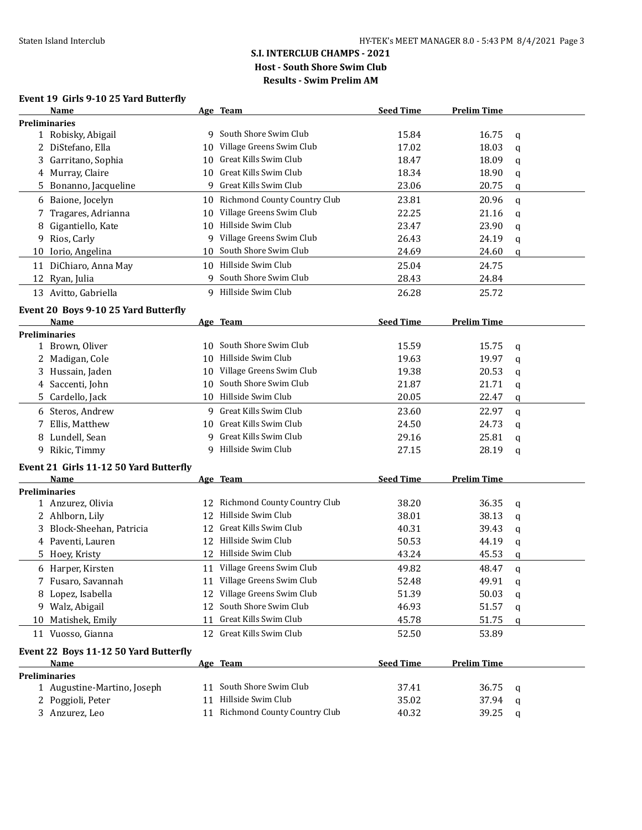## **Event 19 Girls 9-10 25 Yard Butterfly**

|    | Name                                   |    | Age Team                        | <b>Seed Time</b> | <b>Prelim Time</b> |             |
|----|----------------------------------------|----|---------------------------------|------------------|--------------------|-------------|
|    | <b>Preliminaries</b>                   |    |                                 |                  |                    |             |
|    | 1 Robisky, Abigail                     |    | 9 South Shore Swim Club         | 15.84            | 16.75              | q           |
|    | 2 DiStefano, Ella                      | 10 | Village Greens Swim Club        | 17.02            | 18.03              | $\mathbf q$ |
| 3  | Garritano, Sophia                      | 10 | Great Kills Swim Club           | 18.47            | 18.09              | q           |
|    | 4 Murray, Claire                       | 10 | Great Kills Swim Club           | 18.34            | 18.90              | q           |
|    | 5 Bonanno, Jacqueline                  | 9  | Great Kills Swim Club           | 23.06            | 20.75              | q           |
|    | 6 Baione, Jocelyn                      |    | 10 Richmond County Country Club | 23.81            | 20.96              | q           |
|    | 7 Tragares, Adrianna                   | 10 | Village Greens Swim Club        | 22.25            | 21.16              | q           |
| 8  | Gigantiello, Kate                      |    | 10 Hillside Swim Club           | 23.47            | 23.90              | q           |
| 9  | Rios, Carly                            | 9  | Village Greens Swim Club        | 26.43            | 24.19              | q           |
|    | 10 Iorio, Angelina                     |    | 10 South Shore Swim Club        | 24.69            | 24.60              | q           |
|    | 11 DiChiaro, Anna May                  |    | 10 Hillside Swim Club           | 25.04            | 24.75              |             |
|    | 12 Ryan, Julia                         |    | 9 South Shore Swim Club         | 28.43            | 24.84              |             |
|    | 13 Avitto, Gabriella                   |    | 9 Hillside Swim Club            | 26.28            | 25.72              |             |
|    | Event 20 Boys 9-10 25 Yard Butterfly   |    |                                 |                  |                    |             |
|    | Name                                   |    | Age Team                        | <b>Seed Time</b> | <b>Prelim Time</b> |             |
|    | <b>Preliminaries</b>                   |    |                                 |                  |                    |             |
|    | 1 Brown, Oliver                        |    | 10 South Shore Swim Club        | 15.59            | 15.75              | q           |
|    | 2 Madigan, Cole                        |    | 10 Hillside Swim Club           | 19.63            | 19.97              | q           |
|    | 3 Hussain, Jaden                       |    | 10 Village Greens Swim Club     | 19.38            | 20.53              | q           |
|    | 4 Saccenti, John                       | 10 | South Shore Swim Club           | 21.87            | 21.71              | q           |
| 5. | Cardello, Jack                         |    | 10 Hillside Swim Club           | 20.05            | 22.47              | q           |
|    | 6 Steros, Andrew                       |    | 9 Great Kills Swim Club         | 23.60            | 22.97              | q           |
| 7  | Ellis, Matthew                         |    | 10 Great Kills Swim Club        | 24.50            | 24.73              | q           |
|    | 8 Lundell, Sean                        |    | 9 Great Kills Swim Club         | 29.16            | 25.81              | q           |
|    | 9 Rikic, Timmy                         |    | 9 Hillside Swim Club            | 27.15            | 28.19              | q           |
|    | Event 21 Girls 11-12 50 Yard Butterfly |    |                                 |                  |                    |             |
|    | Name                                   |    | Age Team                        | <b>Seed Time</b> | <b>Prelim Time</b> |             |
|    | <b>Preliminaries</b>                   |    |                                 |                  |                    |             |
|    | 1 Anzurez, Olivia                      | 12 | Richmond County Country Club    | 38.20            | 36.35              | q           |
|    | 2 Ahlborn, Lily                        | 12 | Hillside Swim Club              | 38.01            | 38.13              | q           |
|    | 3 Block-Sheehan, Patricia              | 12 | Great Kills Swim Club           | 40.31            | 39.43              | q           |
|    | 4 Paventi, Lauren                      |    | 12 Hillside Swim Club           | 50.53            | 44.19              | q           |
|    | 5 Hoey, Kristy                         |    | 12 Hillside Swim Club           | 43.24            | 45.53              | q           |
|    | 6 Harper, Kirsten                      |    | 11 Village Greens Swim Club     | 49.82            | 48.47              | q           |
|    | 7 Fusaro, Savannah                     |    | 11 Village Greens Swim Club     | 52.48            | 49.91              | q           |
|    | 8 Lopez, Isabella                      |    | 12 Village Greens Swim Club     | 51.39            | 50.03              | q           |
|    | 9 Walz, Abigail                        | 12 | South Shore Swim Club           | 46.93            | 51.57              | q           |
|    | 10 Matishek, Emily                     | 11 | Great Kills Swim Club           | 45.78            | 51.75              | q           |
|    | 11 Vuosso, Gianna                      |    | 12 Great Kills Swim Club        | 52.50            | 53.89              |             |
|    | Event 22 Boys 11-12 50 Yard Butterfly  |    |                                 |                  |                    |             |
|    | Name                                   |    | Age Team                        | <b>Seed Time</b> | <b>Prelim Time</b> |             |
|    | <b>Preliminaries</b>                   |    |                                 |                  |                    |             |
|    | 1 Augustine-Martino, Joseph            |    | 11 South Shore Swim Club        | 37.41            | 36.75              | q           |
|    | 2 Poggioli, Peter                      | 11 | Hillside Swim Club              | 35.02            | 37.94              | q           |
|    | 3 Anzurez, Leo                         |    | 11 Richmond County Country Club | 40.32            | 39.25              | q           |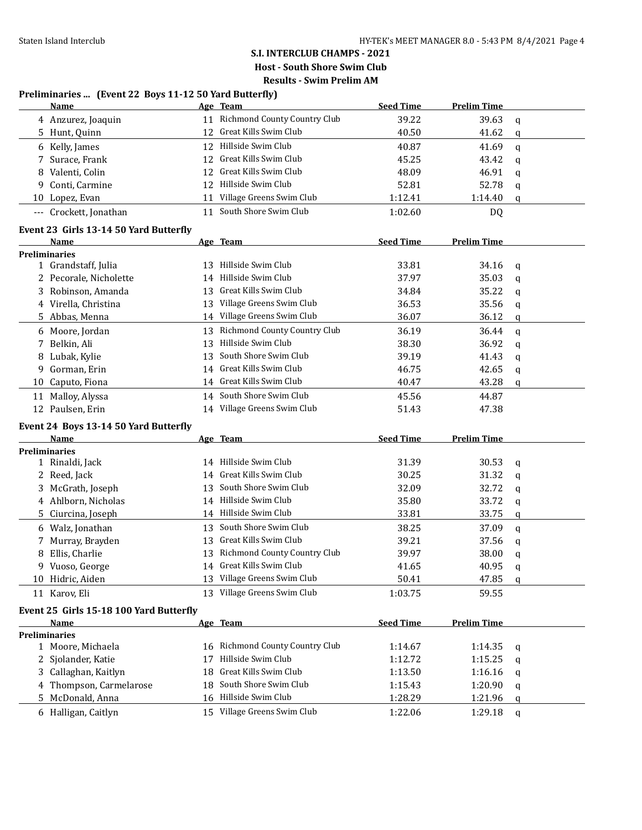## **S.I. INTERCLUB CHAMPS - 2021 Host - South Shore Swim Club**

**Results - Swim Prelim AM**

|    | Preliminaries  (Event 22 Boys 11-12 50 Yard Butterfly) |    |                                 |                  |                    |             |
|----|--------------------------------------------------------|----|---------------------------------|------------------|--------------------|-------------|
|    | <b>Name</b>                                            |    | Age Team                        | <b>Seed Time</b> | <b>Prelim Time</b> |             |
|    | 4 Anzurez, Joaquin                                     |    | 11 Richmond County Country Club | 39.22            | 39.63              | q           |
|    | 5 Hunt, Quinn                                          |    | 12 Great Kills Swim Club        | 40.50            | 41.62              | q           |
|    | 6 Kelly, James                                         |    | 12 Hillside Swim Club           | 40.87            | 41.69              | q           |
|    | 7 Surace, Frank                                        |    | 12 Great Kills Swim Club        | 45.25            | 43.42              | q           |
| 8  | Valenti, Colin                                         | 12 | Great Kills Swim Club           | 48.09            | 46.91              | q           |
| 9  | Conti, Carmine                                         | 12 | Hillside Swim Club              | 52.81            | 52.78              | q           |
|    | 10 Lopez, Evan                                         | 11 | Village Greens Swim Club        | 1:12.41          | 1:14.40            | q           |
|    | --- Crockett, Jonathan                                 | 11 | South Shore Swim Club           | 1:02.60          | DQ                 |             |
|    | Event 23 Girls 13-14 50 Yard Butterfly                 |    |                                 |                  |                    |             |
|    | Name                                                   |    | Age Team                        | <b>Seed Time</b> | <b>Prelim Time</b> |             |
|    | <b>Preliminaries</b>                                   |    |                                 |                  |                    |             |
|    | 1 Grandstaff, Julia                                    |    | 13 Hillside Swim Club           | 33.81            | 34.16              | $\mathbf q$ |
|    | 2 Pecorale, Nicholette                                 | 14 | Hillside Swim Club              | 37.97            | 35.03              | q           |
|    | 3 Robinson, Amanda                                     | 13 | Great Kills Swim Club           | 34.84            | 35.22              | q           |
|    | 4 Virella, Christina                                   | 13 | Village Greens Swim Club        | 36.53            | 35.56              | q           |
|    | 5 Abbas, Menna                                         |    | 14 Village Greens Swim Club     | 36.07            | 36.12              | q           |
|    | 6 Moore, Jordan                                        | 13 | Richmond County Country Club    | 36.19            | 36.44              | q           |
| 7. | Belkin, Ali                                            | 13 | Hillside Swim Club              | 38.30            | 36.92              | q           |
| 8  | Lubak, Kylie                                           | 13 | South Shore Swim Club           | 39.19            | 41.43              | q           |
| 9  | Gorman, Erin                                           |    | 14 Great Kills Swim Club        | 46.75            | 42.65              | q           |
| 10 | Caputo, Fiona                                          |    | 14 Great Kills Swim Club        | 40.47            | 43.28              | q           |
| 11 | Malloy, Alyssa                                         |    | 14 South Shore Swim Club        | 45.56            | 44.87              |             |
|    | 12 Paulsen, Erin                                       |    | 14 Village Greens Swim Club     | 51.43            | 47.38              |             |
|    |                                                        |    |                                 |                  |                    |             |
|    | Event 24 Boys 13-14 50 Yard Butterfly<br>Name          |    | Age Team                        | <b>Seed Time</b> | <b>Prelim Time</b> |             |
|    | Preliminaries                                          |    |                                 |                  |                    |             |
|    | 1 Rinaldi, Jack                                        | 14 | Hillside Swim Club              | 31.39            | 30.53              | q           |
|    | 2 Reed, Jack                                           | 14 | Great Kills Swim Club           | 30.25            | 31.32              | q           |
| 3  | McGrath, Joseph                                        | 13 | South Shore Swim Club           | 32.09            | 32.72              | q           |
|    | 4 Ahlborn, Nicholas                                    |    | 14 Hillside Swim Club           | 35.80            | 33.72              | q           |
| 5. | Ciurcina, Joseph                                       |    | 14 Hillside Swim Club           | 33.81            | 33.75              | q           |
|    | 6 Walz, Jonathan                                       | 13 | South Shore Swim Club           | 38.25            | 37.09              |             |
| 7  | Murray, Brayden                                        |    | 13 Great Kills Swim Club        | 39.21            | 37.56              | q           |
|    | 8 Ellis, Charlie                                       |    | 13 Richmond County Country Club | 39.97            | 38.00              | q           |
|    | 9 Vuoso, George                                        |    | 14 Great Kills Swim Club        | 41.65            | 40.95              | $\mathbf q$ |
|    | 10 Hidric, Aiden                                       |    | 13 Village Greens Swim Club     | 50.41            | 47.85              | q           |
|    | 11 Karov, Eli                                          |    | 13 Village Greens Swim Club     | 1:03.75          | 59.55              | q           |
|    |                                                        |    |                                 |                  |                    |             |
|    | Event 25 Girls 15-18 100 Yard Butterfly                |    | Age Team                        | <b>Seed Time</b> | <b>Prelim Time</b> |             |
|    | Name<br><b>Preliminaries</b>                           |    |                                 |                  |                    |             |
|    | 1 Moore, Michaela                                      |    | 16 Richmond County Country Club | 1:14.67          | 1:14.35            | q           |
|    | 2 Sjolander, Katie                                     | 17 | Hillside Swim Club              | 1:12.72          | 1:15.25            | q           |
|    | 3 Callaghan, Kaitlyn                                   | 18 | Great Kills Swim Club           | 1:13.50          | 1:16.16            | q           |
|    | 4 Thompson, Carmelarose                                | 18 | South Shore Swim Club           | 1:15.43          | 1:20.90            | q           |
|    | 5 McDonald, Anna                                       |    | 16 Hillside Swim Club           | 1:28.29          | 1:21.96            | q           |
|    | 6 Halligan, Caitlyn                                    |    | 15 Village Greens Swim Club     | 1:22.06          |                    |             |
|    |                                                        |    |                                 |                  | 1:29.18            | q           |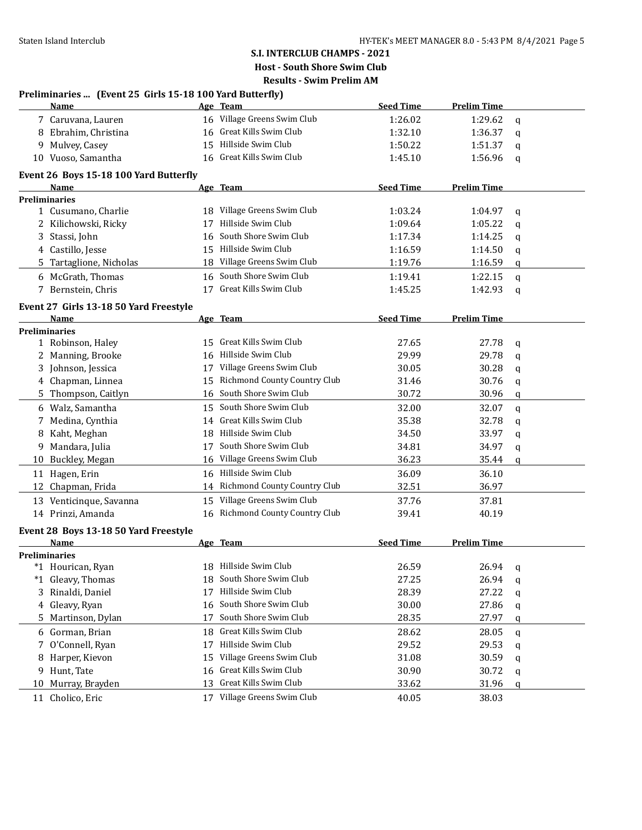|    | Preliminaries  (Event 25 Girls 15-18 100 Yard Butterfly) |     |                                 |                  |                    |             |
|----|----------------------------------------------------------|-----|---------------------------------|------------------|--------------------|-------------|
|    | <b>Name</b>                                              |     | Age Team                        | <b>Seed Time</b> | <b>Prelim Time</b> |             |
|    | 7 Caruvana, Lauren                                       |     | 16 Village Greens Swim Club     | 1:26.02          | 1:29.62            | q           |
|    | 8 Ebrahim, Christina                                     |     | 16 Great Kills Swim Club        | 1:32.10          | 1:36.37            | q           |
|    | 9 Mulvey, Casey                                          |     | 15 Hillside Swim Club           | 1:50.22          | 1:51.37            | q           |
|    | 10 Vuoso, Samantha                                       |     | 16 Great Kills Swim Club        | 1:45.10          | 1:56.96            | q           |
|    | Event 26 Boys 15-18 100 Yard Butterfly                   |     |                                 |                  |                    |             |
|    | Name                                                     |     | Age Team                        | <b>Seed Time</b> | <b>Prelim Time</b> |             |
|    | <b>Preliminaries</b>                                     |     |                                 |                  |                    |             |
|    | 1 Cusumano, Charlie                                      |     | 18 Village Greens Swim Club     | 1:03.24          | 1:04.97            | q           |
|    | 2 Kilichowski, Ricky                                     | 17  | Hillside Swim Club              | 1:09.64          | 1:05.22            | q           |
|    | 3 Stassi, John                                           | 16  | South Shore Swim Club           | 1:17.34          | 1:14.25            | q           |
|    | 4 Castillo, Jesse                                        | 15  | Hillside Swim Club              | 1:16.59          | 1:14.50            | q           |
| 5. | Tartaglione, Nicholas                                    |     | 18 Village Greens Swim Club     | 1:19.76          | 1:16.59            | q           |
|    | 6 McGrath, Thomas                                        | 16  | South Shore Swim Club           | 1:19.41          | 1:22.15            | $\mathbf q$ |
|    | 7 Bernstein, Chris                                       |     | 17 Great Kills Swim Club        | 1:45.25          | 1:42.93            | q           |
|    | Event 27 Girls 13-18 50 Yard Freestyle                   |     |                                 |                  |                    |             |
|    | Name                                                     |     | Age Team                        | <b>Seed Time</b> | <b>Prelim Time</b> |             |
|    | Preliminaries                                            |     |                                 |                  |                    |             |
|    | 1 Robinson, Haley                                        |     | 15 Great Kills Swim Club        | 27.65            | 27.78              | q           |
|    | 2 Manning, Brooke                                        | 16  | Hillside Swim Club              | 29.99            | 29.78              | q           |
|    | 3 Johnson, Jessica                                       |     | 17 Village Greens Swim Club     | 30.05            | 30.28              | q           |
|    | 4 Chapman, Linnea                                        |     | 15 Richmond County Country Club | 31.46            | 30.76              | q           |
|    | 5 Thompson, Caitlyn                                      | 16  | South Shore Swim Club           | 30.72            | 30.96              | q           |
|    | 6 Walz, Samantha                                         |     | 15 South Shore Swim Club        | 32.00            | 32.07              | $\mathbf q$ |
| 7  | Medina, Cynthia                                          | 14  | Great Kills Swim Club           | 35.38            | 32.78              | q           |
| 8  | Kaht, Meghan                                             |     | 18 Hillside Swim Club           | 34.50            | 33.97              | q           |
| 9  | Mandara, Julia                                           | 17  | South Shore Swim Club           | 34.81            | 34.97              | q           |
|    | 10 Buckley, Megan                                        |     | 16 Village Greens Swim Club     | 36.23            | 35.44              | q           |
|    | 11 Hagen, Erin                                           |     | 16 Hillside Swim Club           | 36.09            | 36.10              |             |
| 12 | Chapman, Frida                                           |     | 14 Richmond County Country Club | 32.51            | 36.97              |             |
|    | 13 Venticinque, Savanna                                  |     | 15 Village Greens Swim Club     | 37.76            | 37.81              |             |
|    | 14 Prinzi, Amanda                                        |     | 16 Richmond County Country Club | 39.41            | 40.19              |             |
|    | Event 28 Boys 13-18 50 Yard Freestyle                    |     |                                 |                  |                    |             |
|    | Name                                                     |     | Age Team                        | <b>Seed Time</b> | <b>Prelim Time</b> |             |
|    | Preliminaries                                            |     |                                 |                  |                    |             |
|    | *1 Hourican, Ryan                                        |     | 18 Hillside Swim Club           | 26.59            | 26.94              | q           |
|    | *1 Gleavy, Thomas                                        | 18  | South Shore Swim Club           | 27.25            | 26.94              | q           |
| 3  | Rinaldi, Daniel                                          | 17  | Hillside Swim Club              | 28.39            | 27.22              | q           |
|    | 4 Gleavy, Ryan                                           | 16  | South Shore Swim Club           | 30.00            | 27.86              | q           |
| 5. | Martinson, Dylan                                         | 17  | South Shore Swim Club           | 28.35            | 27.97              | q           |
|    | 6 Gorman, Brian                                          | 18. | Great Kills Swim Club           | 28.62            | 28.05              | q           |
|    | 7 O'Connell, Ryan                                        | 17  | Hillside Swim Club              | 29.52            | 29.53              | q           |
|    | 8 Harper, Kievon                                         | 15  | Village Greens Swim Club        | 31.08            | 30.59              | q           |
| 9. | Hunt, Tate                                               | 16  | Great Kills Swim Club           | 30.90            | 30.72              | q           |
| 10 | Murray, Brayden                                          | 13  | Great Kills Swim Club           | 33.62            | 31.96              | q           |
|    | 11 Cholico, Eric                                         |     | 17 Village Greens Swim Club     | 40.05            | 38.03              |             |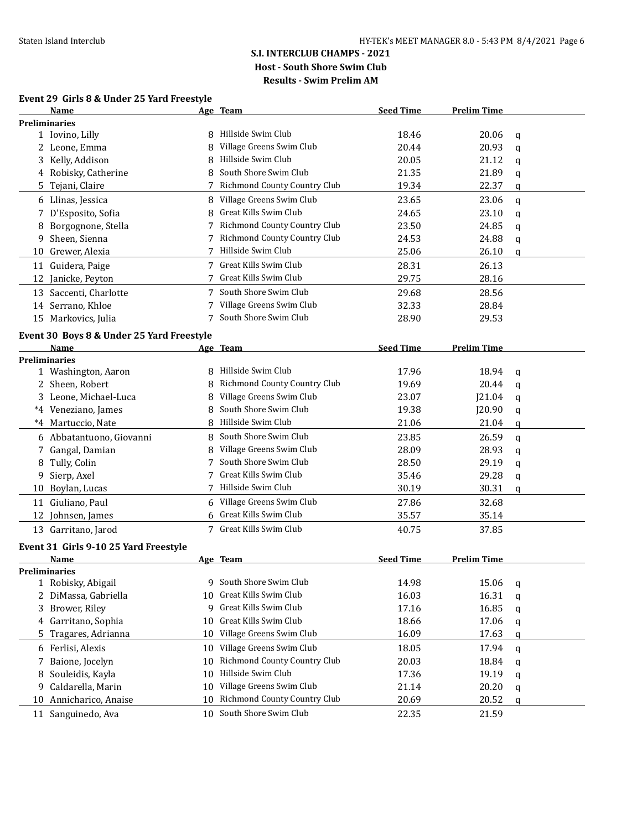# **Event 29 Girls 8 & Under 25 Yard Freestyle**

| <b>Preliminaries</b><br>Hillside Swim Club<br>18.46<br>1 Iovino, Lilly<br>20.06<br>q<br>Village Greens Swim Club<br>20.44<br>20.93<br>2 Leone, Emma<br>q<br>Hillside Swim Club<br>3 Kelly, Addison<br>20.05<br>21.12<br>8<br>q<br>South Shore Swim Club<br>4 Robisky, Catherine<br>21.35<br>21.89<br>8<br>q<br>Richmond County Country Club<br>19.34<br>Tejani, Claire<br>22.37<br>5.<br>q<br>Village Greens Swim Club<br>6 Llinas, Jessica<br>23.65<br>23.06<br>8<br>$\mathbf q$<br>Great Kills Swim Club<br>D'Esposito, Sofia<br>23.10<br>8<br>24.65<br>7<br>q<br>Richmond County Country Club<br>23.50<br>24.85<br>Borgognone, Stella<br>8<br>7<br>q<br>Richmond County Country Club<br>Sheen, Sienna<br>24.88<br>7<br>24.53<br>9<br>q<br>Hillside Swim Club<br>25.06<br>26.10<br>Grewer, Alexia<br>10<br>q<br>Great Kills Swim Club<br>11 Guidera, Paige<br>28.31<br>26.13<br>Great Kills Swim Club<br>29.75<br>28.16<br>12<br>Janicke, Peyton<br>7 South Shore Swim Club<br>13 Saccenti, Charlotte<br>29.68<br>28.56<br>7 Village Greens Swim Club<br>28.84<br>14 Serrano, Khloe<br>32.33<br>South Shore Swim Club<br>15 Markovics, Julia<br>28.90<br>29.53<br>7<br>Event 30 Boys 8 & Under 25 Yard Freestyle<br><b>Seed Time</b><br><b>Prelim Time</b><br>Name<br>Age Team<br><b>Preliminaries</b><br>Hillside Swim Club<br>18.94<br>1 Washington, Aaron<br>17.96<br>$\mathbf q$<br>Richmond County Country Club<br>2 Sheen, Robert<br>19.69<br>20.44<br>8<br>q<br>Village Greens Swim Club<br>3 Leone, Michael-Luca<br>23.07<br>J21.04<br>8<br>q<br>South Shore Swim Club<br>*4 Veneziano, James<br>19.38<br><b>J20.90</b><br>q<br>Hillside Swim Club<br>21.04<br>*4 Martuccio, Nate<br>8<br>21.06<br>q<br>South Shore Swim Club<br>23.85<br>26.59<br>6 Abbatantuono, Giovanni<br>8<br>q<br>Village Greens Swim Club<br>Gangal, Damian<br>28.09<br>28.93<br>7<br>q<br>South Shore Swim Club<br>Tully, Colin<br>28.50<br>29.19<br>8<br>q<br>Great Kills Swim Club<br>Sierp, Axel<br>35.46<br>29.28<br>9<br>q<br>Hillside Swim Club<br>30.19<br>30.31<br>10 Boylan, Lucas<br>7<br>q<br>11 Giuliano, Paul<br>Village Greens Swim Club<br>27.86<br>32.68<br>6<br>6 Great Kills Swim Club<br>35.57<br>35.14<br>12 Johnsen, James<br>Great Kills Swim Club<br>13 Garritano, Jarod<br>7<br>40.75<br>37.85<br>Event 31 Girls 9-10 25 Yard Freestyle<br><b>Name</b><br><b>Seed Time</b><br>Age Team<br><b>Prelim Time</b><br>Preliminaries<br>9 South Shore Swim Club<br>1 Robisky, Abigail<br>14.98<br>15.06<br>q<br>Great Kills Swim Club<br>16.31<br>2 DiMassa, Gabriella<br>16.03<br>10<br>q<br>Great Kills Swim Club<br>Brower, Riley<br>17.16<br>16.85<br>3<br>9<br>q<br>Great Kills Swim Club<br>Garritano, Sophia<br>18.66<br>17.06<br>10<br>4<br>q<br>Village Greens Swim Club<br>Tragares, Adrianna<br>16.09<br>10<br>17.63<br>5<br>q<br>Village Greens Swim Club<br>6 Ferlisi, Alexis<br>18.05<br>17.94<br>10<br>q<br>Richmond County Country Club<br>Baione, Jocelyn<br>20.03<br>18.84<br>10<br>7<br>q<br>Hillside Swim Club<br>Souleidis, Kayla<br>19.19<br>10<br>17.36<br>8<br>q<br>Village Greens Swim Club<br>Caldarella, Marin<br>10<br>21.14<br>20.20<br>9<br>q<br>Richmond County Country Club<br>10 Annicharico, Anaise<br>20.52<br>10<br>20.69<br>q<br>South Shore Swim Club<br>11 Sanguinedo, Ava<br>22.35<br>21.59<br>10 | Name | <u>Age Team</u> | <b>Seed Time</b> | <b>Prelim Time</b> |  |
|-----------------------------------------------------------------------------------------------------------------------------------------------------------------------------------------------------------------------------------------------------------------------------------------------------------------------------------------------------------------------------------------------------------------------------------------------------------------------------------------------------------------------------------------------------------------------------------------------------------------------------------------------------------------------------------------------------------------------------------------------------------------------------------------------------------------------------------------------------------------------------------------------------------------------------------------------------------------------------------------------------------------------------------------------------------------------------------------------------------------------------------------------------------------------------------------------------------------------------------------------------------------------------------------------------------------------------------------------------------------------------------------------------------------------------------------------------------------------------------------------------------------------------------------------------------------------------------------------------------------------------------------------------------------------------------------------------------------------------------------------------------------------------------------------------------------------------------------------------------------------------------------------------------------------------------------------------------------------------------------------------------------------------------------------------------------------------------------------------------------------------------------------------------------------------------------------------------------------------------------------------------------------------------------------------------------------------------------------------------------------------------------------------------------------------------------------------------------------------------------------------------------------------------------------------------------------------------------------------------------------------------------------------------------------------------------------------------------------------------------------------------------------------------------------------------------------------------------------------------------------------------------------------------------------------------------------------------------------------------------------------------------------------------------------------------------------------------------------------------------------------------------------------------------------------------------------------------------------------------------------------------------------------------------------------------------------------------------------|------|-----------------|------------------|--------------------|--|
|                                                                                                                                                                                                                                                                                                                                                                                                                                                                                                                                                                                                                                                                                                                                                                                                                                                                                                                                                                                                                                                                                                                                                                                                                                                                                                                                                                                                                                                                                                                                                                                                                                                                                                                                                                                                                                                                                                                                                                                                                                                                                                                                                                                                                                                                                                                                                                                                                                                                                                                                                                                                                                                                                                                                                                                                                                                                                                                                                                                                                                                                                                                                                                                                                                                                                                                                               |      |                 |                  |                    |  |
|                                                                                                                                                                                                                                                                                                                                                                                                                                                                                                                                                                                                                                                                                                                                                                                                                                                                                                                                                                                                                                                                                                                                                                                                                                                                                                                                                                                                                                                                                                                                                                                                                                                                                                                                                                                                                                                                                                                                                                                                                                                                                                                                                                                                                                                                                                                                                                                                                                                                                                                                                                                                                                                                                                                                                                                                                                                                                                                                                                                                                                                                                                                                                                                                                                                                                                                                               |      |                 |                  |                    |  |
|                                                                                                                                                                                                                                                                                                                                                                                                                                                                                                                                                                                                                                                                                                                                                                                                                                                                                                                                                                                                                                                                                                                                                                                                                                                                                                                                                                                                                                                                                                                                                                                                                                                                                                                                                                                                                                                                                                                                                                                                                                                                                                                                                                                                                                                                                                                                                                                                                                                                                                                                                                                                                                                                                                                                                                                                                                                                                                                                                                                                                                                                                                                                                                                                                                                                                                                                               |      |                 |                  |                    |  |
|                                                                                                                                                                                                                                                                                                                                                                                                                                                                                                                                                                                                                                                                                                                                                                                                                                                                                                                                                                                                                                                                                                                                                                                                                                                                                                                                                                                                                                                                                                                                                                                                                                                                                                                                                                                                                                                                                                                                                                                                                                                                                                                                                                                                                                                                                                                                                                                                                                                                                                                                                                                                                                                                                                                                                                                                                                                                                                                                                                                                                                                                                                                                                                                                                                                                                                                                               |      |                 |                  |                    |  |
|                                                                                                                                                                                                                                                                                                                                                                                                                                                                                                                                                                                                                                                                                                                                                                                                                                                                                                                                                                                                                                                                                                                                                                                                                                                                                                                                                                                                                                                                                                                                                                                                                                                                                                                                                                                                                                                                                                                                                                                                                                                                                                                                                                                                                                                                                                                                                                                                                                                                                                                                                                                                                                                                                                                                                                                                                                                                                                                                                                                                                                                                                                                                                                                                                                                                                                                                               |      |                 |                  |                    |  |
|                                                                                                                                                                                                                                                                                                                                                                                                                                                                                                                                                                                                                                                                                                                                                                                                                                                                                                                                                                                                                                                                                                                                                                                                                                                                                                                                                                                                                                                                                                                                                                                                                                                                                                                                                                                                                                                                                                                                                                                                                                                                                                                                                                                                                                                                                                                                                                                                                                                                                                                                                                                                                                                                                                                                                                                                                                                                                                                                                                                                                                                                                                                                                                                                                                                                                                                                               |      |                 |                  |                    |  |
|                                                                                                                                                                                                                                                                                                                                                                                                                                                                                                                                                                                                                                                                                                                                                                                                                                                                                                                                                                                                                                                                                                                                                                                                                                                                                                                                                                                                                                                                                                                                                                                                                                                                                                                                                                                                                                                                                                                                                                                                                                                                                                                                                                                                                                                                                                                                                                                                                                                                                                                                                                                                                                                                                                                                                                                                                                                                                                                                                                                                                                                                                                                                                                                                                                                                                                                                               |      |                 |                  |                    |  |
|                                                                                                                                                                                                                                                                                                                                                                                                                                                                                                                                                                                                                                                                                                                                                                                                                                                                                                                                                                                                                                                                                                                                                                                                                                                                                                                                                                                                                                                                                                                                                                                                                                                                                                                                                                                                                                                                                                                                                                                                                                                                                                                                                                                                                                                                                                                                                                                                                                                                                                                                                                                                                                                                                                                                                                                                                                                                                                                                                                                                                                                                                                                                                                                                                                                                                                                                               |      |                 |                  |                    |  |
|                                                                                                                                                                                                                                                                                                                                                                                                                                                                                                                                                                                                                                                                                                                                                                                                                                                                                                                                                                                                                                                                                                                                                                                                                                                                                                                                                                                                                                                                                                                                                                                                                                                                                                                                                                                                                                                                                                                                                                                                                                                                                                                                                                                                                                                                                                                                                                                                                                                                                                                                                                                                                                                                                                                                                                                                                                                                                                                                                                                                                                                                                                                                                                                                                                                                                                                                               |      |                 |                  |                    |  |
|                                                                                                                                                                                                                                                                                                                                                                                                                                                                                                                                                                                                                                                                                                                                                                                                                                                                                                                                                                                                                                                                                                                                                                                                                                                                                                                                                                                                                                                                                                                                                                                                                                                                                                                                                                                                                                                                                                                                                                                                                                                                                                                                                                                                                                                                                                                                                                                                                                                                                                                                                                                                                                                                                                                                                                                                                                                                                                                                                                                                                                                                                                                                                                                                                                                                                                                                               |      |                 |                  |                    |  |
|                                                                                                                                                                                                                                                                                                                                                                                                                                                                                                                                                                                                                                                                                                                                                                                                                                                                                                                                                                                                                                                                                                                                                                                                                                                                                                                                                                                                                                                                                                                                                                                                                                                                                                                                                                                                                                                                                                                                                                                                                                                                                                                                                                                                                                                                                                                                                                                                                                                                                                                                                                                                                                                                                                                                                                                                                                                                                                                                                                                                                                                                                                                                                                                                                                                                                                                                               |      |                 |                  |                    |  |
|                                                                                                                                                                                                                                                                                                                                                                                                                                                                                                                                                                                                                                                                                                                                                                                                                                                                                                                                                                                                                                                                                                                                                                                                                                                                                                                                                                                                                                                                                                                                                                                                                                                                                                                                                                                                                                                                                                                                                                                                                                                                                                                                                                                                                                                                                                                                                                                                                                                                                                                                                                                                                                                                                                                                                                                                                                                                                                                                                                                                                                                                                                                                                                                                                                                                                                                                               |      |                 |                  |                    |  |
|                                                                                                                                                                                                                                                                                                                                                                                                                                                                                                                                                                                                                                                                                                                                                                                                                                                                                                                                                                                                                                                                                                                                                                                                                                                                                                                                                                                                                                                                                                                                                                                                                                                                                                                                                                                                                                                                                                                                                                                                                                                                                                                                                                                                                                                                                                                                                                                                                                                                                                                                                                                                                                                                                                                                                                                                                                                                                                                                                                                                                                                                                                                                                                                                                                                                                                                                               |      |                 |                  |                    |  |
|                                                                                                                                                                                                                                                                                                                                                                                                                                                                                                                                                                                                                                                                                                                                                                                                                                                                                                                                                                                                                                                                                                                                                                                                                                                                                                                                                                                                                                                                                                                                                                                                                                                                                                                                                                                                                                                                                                                                                                                                                                                                                                                                                                                                                                                                                                                                                                                                                                                                                                                                                                                                                                                                                                                                                                                                                                                                                                                                                                                                                                                                                                                                                                                                                                                                                                                                               |      |                 |                  |                    |  |
|                                                                                                                                                                                                                                                                                                                                                                                                                                                                                                                                                                                                                                                                                                                                                                                                                                                                                                                                                                                                                                                                                                                                                                                                                                                                                                                                                                                                                                                                                                                                                                                                                                                                                                                                                                                                                                                                                                                                                                                                                                                                                                                                                                                                                                                                                                                                                                                                                                                                                                                                                                                                                                                                                                                                                                                                                                                                                                                                                                                                                                                                                                                                                                                                                                                                                                                                               |      |                 |                  |                    |  |
|                                                                                                                                                                                                                                                                                                                                                                                                                                                                                                                                                                                                                                                                                                                                                                                                                                                                                                                                                                                                                                                                                                                                                                                                                                                                                                                                                                                                                                                                                                                                                                                                                                                                                                                                                                                                                                                                                                                                                                                                                                                                                                                                                                                                                                                                                                                                                                                                                                                                                                                                                                                                                                                                                                                                                                                                                                                                                                                                                                                                                                                                                                                                                                                                                                                                                                                                               |      |                 |                  |                    |  |
|                                                                                                                                                                                                                                                                                                                                                                                                                                                                                                                                                                                                                                                                                                                                                                                                                                                                                                                                                                                                                                                                                                                                                                                                                                                                                                                                                                                                                                                                                                                                                                                                                                                                                                                                                                                                                                                                                                                                                                                                                                                                                                                                                                                                                                                                                                                                                                                                                                                                                                                                                                                                                                                                                                                                                                                                                                                                                                                                                                                                                                                                                                                                                                                                                                                                                                                                               |      |                 |                  |                    |  |
|                                                                                                                                                                                                                                                                                                                                                                                                                                                                                                                                                                                                                                                                                                                                                                                                                                                                                                                                                                                                                                                                                                                                                                                                                                                                                                                                                                                                                                                                                                                                                                                                                                                                                                                                                                                                                                                                                                                                                                                                                                                                                                                                                                                                                                                                                                                                                                                                                                                                                                                                                                                                                                                                                                                                                                                                                                                                                                                                                                                                                                                                                                                                                                                                                                                                                                                                               |      |                 |                  |                    |  |
|                                                                                                                                                                                                                                                                                                                                                                                                                                                                                                                                                                                                                                                                                                                                                                                                                                                                                                                                                                                                                                                                                                                                                                                                                                                                                                                                                                                                                                                                                                                                                                                                                                                                                                                                                                                                                                                                                                                                                                                                                                                                                                                                                                                                                                                                                                                                                                                                                                                                                                                                                                                                                                                                                                                                                                                                                                                                                                                                                                                                                                                                                                                                                                                                                                                                                                                                               |      |                 |                  |                    |  |
|                                                                                                                                                                                                                                                                                                                                                                                                                                                                                                                                                                                                                                                                                                                                                                                                                                                                                                                                                                                                                                                                                                                                                                                                                                                                                                                                                                                                                                                                                                                                                                                                                                                                                                                                                                                                                                                                                                                                                                                                                                                                                                                                                                                                                                                                                                                                                                                                                                                                                                                                                                                                                                                                                                                                                                                                                                                                                                                                                                                                                                                                                                                                                                                                                                                                                                                                               |      |                 |                  |                    |  |
|                                                                                                                                                                                                                                                                                                                                                                                                                                                                                                                                                                                                                                                                                                                                                                                                                                                                                                                                                                                                                                                                                                                                                                                                                                                                                                                                                                                                                                                                                                                                                                                                                                                                                                                                                                                                                                                                                                                                                                                                                                                                                                                                                                                                                                                                                                                                                                                                                                                                                                                                                                                                                                                                                                                                                                                                                                                                                                                                                                                                                                                                                                                                                                                                                                                                                                                                               |      |                 |                  |                    |  |
|                                                                                                                                                                                                                                                                                                                                                                                                                                                                                                                                                                                                                                                                                                                                                                                                                                                                                                                                                                                                                                                                                                                                                                                                                                                                                                                                                                                                                                                                                                                                                                                                                                                                                                                                                                                                                                                                                                                                                                                                                                                                                                                                                                                                                                                                                                                                                                                                                                                                                                                                                                                                                                                                                                                                                                                                                                                                                                                                                                                                                                                                                                                                                                                                                                                                                                                                               |      |                 |                  |                    |  |
|                                                                                                                                                                                                                                                                                                                                                                                                                                                                                                                                                                                                                                                                                                                                                                                                                                                                                                                                                                                                                                                                                                                                                                                                                                                                                                                                                                                                                                                                                                                                                                                                                                                                                                                                                                                                                                                                                                                                                                                                                                                                                                                                                                                                                                                                                                                                                                                                                                                                                                                                                                                                                                                                                                                                                                                                                                                                                                                                                                                                                                                                                                                                                                                                                                                                                                                                               |      |                 |                  |                    |  |
|                                                                                                                                                                                                                                                                                                                                                                                                                                                                                                                                                                                                                                                                                                                                                                                                                                                                                                                                                                                                                                                                                                                                                                                                                                                                                                                                                                                                                                                                                                                                                                                                                                                                                                                                                                                                                                                                                                                                                                                                                                                                                                                                                                                                                                                                                                                                                                                                                                                                                                                                                                                                                                                                                                                                                                                                                                                                                                                                                                                                                                                                                                                                                                                                                                                                                                                                               |      |                 |                  |                    |  |
|                                                                                                                                                                                                                                                                                                                                                                                                                                                                                                                                                                                                                                                                                                                                                                                                                                                                                                                                                                                                                                                                                                                                                                                                                                                                                                                                                                                                                                                                                                                                                                                                                                                                                                                                                                                                                                                                                                                                                                                                                                                                                                                                                                                                                                                                                                                                                                                                                                                                                                                                                                                                                                                                                                                                                                                                                                                                                                                                                                                                                                                                                                                                                                                                                                                                                                                                               |      |                 |                  |                    |  |
|                                                                                                                                                                                                                                                                                                                                                                                                                                                                                                                                                                                                                                                                                                                                                                                                                                                                                                                                                                                                                                                                                                                                                                                                                                                                                                                                                                                                                                                                                                                                                                                                                                                                                                                                                                                                                                                                                                                                                                                                                                                                                                                                                                                                                                                                                                                                                                                                                                                                                                                                                                                                                                                                                                                                                                                                                                                                                                                                                                                                                                                                                                                                                                                                                                                                                                                                               |      |                 |                  |                    |  |
|                                                                                                                                                                                                                                                                                                                                                                                                                                                                                                                                                                                                                                                                                                                                                                                                                                                                                                                                                                                                                                                                                                                                                                                                                                                                                                                                                                                                                                                                                                                                                                                                                                                                                                                                                                                                                                                                                                                                                                                                                                                                                                                                                                                                                                                                                                                                                                                                                                                                                                                                                                                                                                                                                                                                                                                                                                                                                                                                                                                                                                                                                                                                                                                                                                                                                                                                               |      |                 |                  |                    |  |
|                                                                                                                                                                                                                                                                                                                                                                                                                                                                                                                                                                                                                                                                                                                                                                                                                                                                                                                                                                                                                                                                                                                                                                                                                                                                                                                                                                                                                                                                                                                                                                                                                                                                                                                                                                                                                                                                                                                                                                                                                                                                                                                                                                                                                                                                                                                                                                                                                                                                                                                                                                                                                                                                                                                                                                                                                                                                                                                                                                                                                                                                                                                                                                                                                                                                                                                                               |      |                 |                  |                    |  |
|                                                                                                                                                                                                                                                                                                                                                                                                                                                                                                                                                                                                                                                                                                                                                                                                                                                                                                                                                                                                                                                                                                                                                                                                                                                                                                                                                                                                                                                                                                                                                                                                                                                                                                                                                                                                                                                                                                                                                                                                                                                                                                                                                                                                                                                                                                                                                                                                                                                                                                                                                                                                                                                                                                                                                                                                                                                                                                                                                                                                                                                                                                                                                                                                                                                                                                                                               |      |                 |                  |                    |  |
|                                                                                                                                                                                                                                                                                                                                                                                                                                                                                                                                                                                                                                                                                                                                                                                                                                                                                                                                                                                                                                                                                                                                                                                                                                                                                                                                                                                                                                                                                                                                                                                                                                                                                                                                                                                                                                                                                                                                                                                                                                                                                                                                                                                                                                                                                                                                                                                                                                                                                                                                                                                                                                                                                                                                                                                                                                                                                                                                                                                                                                                                                                                                                                                                                                                                                                                                               |      |                 |                  |                    |  |
|                                                                                                                                                                                                                                                                                                                                                                                                                                                                                                                                                                                                                                                                                                                                                                                                                                                                                                                                                                                                                                                                                                                                                                                                                                                                                                                                                                                                                                                                                                                                                                                                                                                                                                                                                                                                                                                                                                                                                                                                                                                                                                                                                                                                                                                                                                                                                                                                                                                                                                                                                                                                                                                                                                                                                                                                                                                                                                                                                                                                                                                                                                                                                                                                                                                                                                                                               |      |                 |                  |                    |  |
|                                                                                                                                                                                                                                                                                                                                                                                                                                                                                                                                                                                                                                                                                                                                                                                                                                                                                                                                                                                                                                                                                                                                                                                                                                                                                                                                                                                                                                                                                                                                                                                                                                                                                                                                                                                                                                                                                                                                                                                                                                                                                                                                                                                                                                                                                                                                                                                                                                                                                                                                                                                                                                                                                                                                                                                                                                                                                                                                                                                                                                                                                                                                                                                                                                                                                                                                               |      |                 |                  |                    |  |
|                                                                                                                                                                                                                                                                                                                                                                                                                                                                                                                                                                                                                                                                                                                                                                                                                                                                                                                                                                                                                                                                                                                                                                                                                                                                                                                                                                                                                                                                                                                                                                                                                                                                                                                                                                                                                                                                                                                                                                                                                                                                                                                                                                                                                                                                                                                                                                                                                                                                                                                                                                                                                                                                                                                                                                                                                                                                                                                                                                                                                                                                                                                                                                                                                                                                                                                                               |      |                 |                  |                    |  |
|                                                                                                                                                                                                                                                                                                                                                                                                                                                                                                                                                                                                                                                                                                                                                                                                                                                                                                                                                                                                                                                                                                                                                                                                                                                                                                                                                                                                                                                                                                                                                                                                                                                                                                                                                                                                                                                                                                                                                                                                                                                                                                                                                                                                                                                                                                                                                                                                                                                                                                                                                                                                                                                                                                                                                                                                                                                                                                                                                                                                                                                                                                                                                                                                                                                                                                                                               |      |                 |                  |                    |  |
|                                                                                                                                                                                                                                                                                                                                                                                                                                                                                                                                                                                                                                                                                                                                                                                                                                                                                                                                                                                                                                                                                                                                                                                                                                                                                                                                                                                                                                                                                                                                                                                                                                                                                                                                                                                                                                                                                                                                                                                                                                                                                                                                                                                                                                                                                                                                                                                                                                                                                                                                                                                                                                                                                                                                                                                                                                                                                                                                                                                                                                                                                                                                                                                                                                                                                                                                               |      |                 |                  |                    |  |
|                                                                                                                                                                                                                                                                                                                                                                                                                                                                                                                                                                                                                                                                                                                                                                                                                                                                                                                                                                                                                                                                                                                                                                                                                                                                                                                                                                                                                                                                                                                                                                                                                                                                                                                                                                                                                                                                                                                                                                                                                                                                                                                                                                                                                                                                                                                                                                                                                                                                                                                                                                                                                                                                                                                                                                                                                                                                                                                                                                                                                                                                                                                                                                                                                                                                                                                                               |      |                 |                  |                    |  |
|                                                                                                                                                                                                                                                                                                                                                                                                                                                                                                                                                                                                                                                                                                                                                                                                                                                                                                                                                                                                                                                                                                                                                                                                                                                                                                                                                                                                                                                                                                                                                                                                                                                                                                                                                                                                                                                                                                                                                                                                                                                                                                                                                                                                                                                                                                                                                                                                                                                                                                                                                                                                                                                                                                                                                                                                                                                                                                                                                                                                                                                                                                                                                                                                                                                                                                                                               |      |                 |                  |                    |  |
|                                                                                                                                                                                                                                                                                                                                                                                                                                                                                                                                                                                                                                                                                                                                                                                                                                                                                                                                                                                                                                                                                                                                                                                                                                                                                                                                                                                                                                                                                                                                                                                                                                                                                                                                                                                                                                                                                                                                                                                                                                                                                                                                                                                                                                                                                                                                                                                                                                                                                                                                                                                                                                                                                                                                                                                                                                                                                                                                                                                                                                                                                                                                                                                                                                                                                                                                               |      |                 |                  |                    |  |
|                                                                                                                                                                                                                                                                                                                                                                                                                                                                                                                                                                                                                                                                                                                                                                                                                                                                                                                                                                                                                                                                                                                                                                                                                                                                                                                                                                                                                                                                                                                                                                                                                                                                                                                                                                                                                                                                                                                                                                                                                                                                                                                                                                                                                                                                                                                                                                                                                                                                                                                                                                                                                                                                                                                                                                                                                                                                                                                                                                                                                                                                                                                                                                                                                                                                                                                                               |      |                 |                  |                    |  |
|                                                                                                                                                                                                                                                                                                                                                                                                                                                                                                                                                                                                                                                                                                                                                                                                                                                                                                                                                                                                                                                                                                                                                                                                                                                                                                                                                                                                                                                                                                                                                                                                                                                                                                                                                                                                                                                                                                                                                                                                                                                                                                                                                                                                                                                                                                                                                                                                                                                                                                                                                                                                                                                                                                                                                                                                                                                                                                                                                                                                                                                                                                                                                                                                                                                                                                                                               |      |                 |                  |                    |  |
|                                                                                                                                                                                                                                                                                                                                                                                                                                                                                                                                                                                                                                                                                                                                                                                                                                                                                                                                                                                                                                                                                                                                                                                                                                                                                                                                                                                                                                                                                                                                                                                                                                                                                                                                                                                                                                                                                                                                                                                                                                                                                                                                                                                                                                                                                                                                                                                                                                                                                                                                                                                                                                                                                                                                                                                                                                                                                                                                                                                                                                                                                                                                                                                                                                                                                                                                               |      |                 |                  |                    |  |
|                                                                                                                                                                                                                                                                                                                                                                                                                                                                                                                                                                                                                                                                                                                                                                                                                                                                                                                                                                                                                                                                                                                                                                                                                                                                                                                                                                                                                                                                                                                                                                                                                                                                                                                                                                                                                                                                                                                                                                                                                                                                                                                                                                                                                                                                                                                                                                                                                                                                                                                                                                                                                                                                                                                                                                                                                                                                                                                                                                                                                                                                                                                                                                                                                                                                                                                                               |      |                 |                  |                    |  |
|                                                                                                                                                                                                                                                                                                                                                                                                                                                                                                                                                                                                                                                                                                                                                                                                                                                                                                                                                                                                                                                                                                                                                                                                                                                                                                                                                                                                                                                                                                                                                                                                                                                                                                                                                                                                                                                                                                                                                                                                                                                                                                                                                                                                                                                                                                                                                                                                                                                                                                                                                                                                                                                                                                                                                                                                                                                                                                                                                                                                                                                                                                                                                                                                                                                                                                                                               |      |                 |                  |                    |  |
|                                                                                                                                                                                                                                                                                                                                                                                                                                                                                                                                                                                                                                                                                                                                                                                                                                                                                                                                                                                                                                                                                                                                                                                                                                                                                                                                                                                                                                                                                                                                                                                                                                                                                                                                                                                                                                                                                                                                                                                                                                                                                                                                                                                                                                                                                                                                                                                                                                                                                                                                                                                                                                                                                                                                                                                                                                                                                                                                                                                                                                                                                                                                                                                                                                                                                                                                               |      |                 |                  |                    |  |
|                                                                                                                                                                                                                                                                                                                                                                                                                                                                                                                                                                                                                                                                                                                                                                                                                                                                                                                                                                                                                                                                                                                                                                                                                                                                                                                                                                                                                                                                                                                                                                                                                                                                                                                                                                                                                                                                                                                                                                                                                                                                                                                                                                                                                                                                                                                                                                                                                                                                                                                                                                                                                                                                                                                                                                                                                                                                                                                                                                                                                                                                                                                                                                                                                                                                                                                                               |      |                 |                  |                    |  |
|                                                                                                                                                                                                                                                                                                                                                                                                                                                                                                                                                                                                                                                                                                                                                                                                                                                                                                                                                                                                                                                                                                                                                                                                                                                                                                                                                                                                                                                                                                                                                                                                                                                                                                                                                                                                                                                                                                                                                                                                                                                                                                                                                                                                                                                                                                                                                                                                                                                                                                                                                                                                                                                                                                                                                                                                                                                                                                                                                                                                                                                                                                                                                                                                                                                                                                                                               |      |                 |                  |                    |  |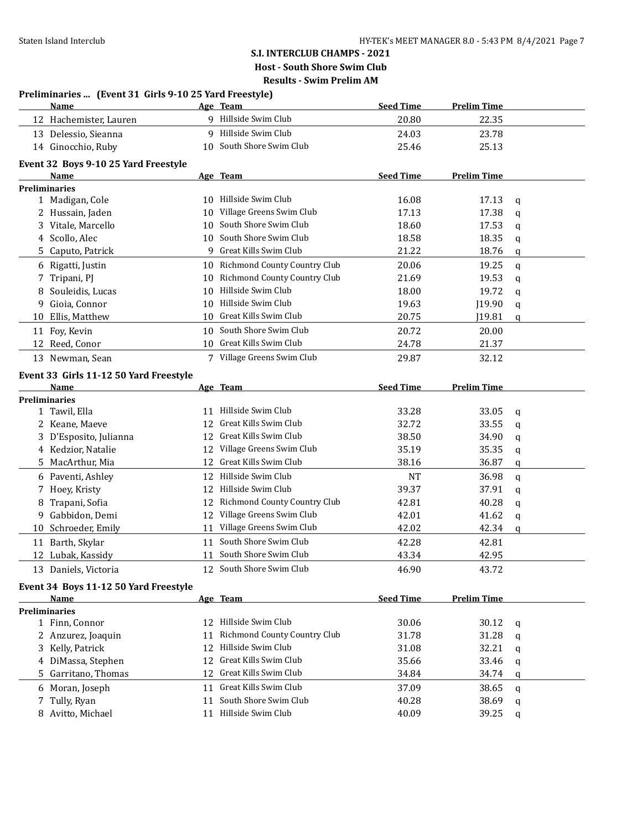|    | Preliminaries  (Event 31 Girls 9-10 25 Yard Freestyle) |    |                                                   |                  |                    |        |
|----|--------------------------------------------------------|----|---------------------------------------------------|------------------|--------------------|--------|
|    | Name                                                   |    | Age Team                                          | <b>Seed Time</b> | <b>Prelim Time</b> |        |
|    | 12 Hachemister, Lauren                                 |    | 9 Hillside Swim Club                              | 20.80            | 22.35              |        |
|    | 13 Delessio, Sieanna                                   |    | 9 Hillside Swim Club                              | 24.03            | 23.78              |        |
|    | 14 Ginocchio, Ruby                                     |    | 10 South Shore Swim Club                          | 25.46            | 25.13              |        |
|    | Event 32 Boys 9-10 25 Yard Freestyle                   |    |                                                   |                  |                    |        |
|    | Name                                                   |    | Age Team                                          | <b>Seed Time</b> | <b>Prelim Time</b> |        |
|    | <b>Preliminaries</b>                                   |    |                                                   |                  |                    |        |
|    | 1 Madigan, Cole                                        |    | 10 Hillside Swim Club                             | 16.08            | 17.13              | q      |
|    | 2 Hussain, Jaden                                       | 10 | Village Greens Swim Club                          | 17.13            | 17.38              | q      |
|    | 3 Vitale, Marcello                                     | 10 | South Shore Swim Club                             | 18.60            | 17.53              | q      |
|    | 4 Scollo, Alec                                         | 10 | South Shore Swim Club                             | 18.58            | 18.35              | q      |
| 5. | Caputo, Patrick                                        | 9  | Great Kills Swim Club                             | 21.22            | 18.76              | q      |
|    | 6 Rigatti, Justin                                      |    | 10 Richmond County Country Club                   | 20.06            | 19.25              | q      |
| 7  | Tripani, PJ                                            | 10 | Richmond County Country Club                      | 21.69            | 19.53              | q      |
| 8  | Souleidis, Lucas                                       | 10 | Hillside Swim Club                                | 18.00            | 19.72              | q      |
| 9  | Gioia, Connor                                          | 10 | Hillside Swim Club                                | 19.63            | J19.90             | q      |
| 10 | Ellis, Matthew                                         | 10 | Great Kills Swim Club                             | 20.75            | J19.81             | q      |
|    | 11 Foy, Kevin                                          | 10 | South Shore Swim Club                             | 20.72            | 20.00              |        |
|    | 12 Reed, Conor                                         |    | 10 Great Kills Swim Club                          | 24.78            | 21.37              |        |
|    | 13 Newman, Sean                                        |    | 7 Village Greens Swim Club                        | 29.87            | 32.12              |        |
|    |                                                        |    |                                                   |                  |                    |        |
|    | Event 33 Girls 11-12 50 Yard Freestyle<br>Name         |    | Age Team                                          | <b>Seed Time</b> | <b>Prelim Time</b> |        |
|    | <b>Preliminaries</b>                                   |    |                                                   |                  |                    |        |
|    | 1 Tawil, Ella                                          |    | 11 Hillside Swim Club                             | 33.28            | 33.05              | q      |
|    | 2 Keane, Maeve                                         | 12 | Great Kills Swim Club                             | 32.72            | 33.55              | q      |
|    | 3 D'Esposito, Julianna                                 | 12 | Great Kills Swim Club                             | 38.50            | 34.90              | q      |
|    | 4 Kedzior, Natalie                                     |    | 12 Village Greens Swim Club                       | 35.19            | 35.35              | q      |
|    | 5 MacArthur, Mia                                       |    | 12 Great Kills Swim Club                          | 38.16            | 36.87              | q      |
|    | 6 Paventi, Ashley                                      |    | 12 Hillside Swim Club                             | <b>NT</b>        | 36.98              | q      |
| 7  | Hoey, Kristy                                           | 12 | Hillside Swim Club                                | 39.37            | 37.91              | q      |
| 8  | Trapani, Sofia                                         | 12 | Richmond County Country Club                      | 42.81            | 40.28              | q      |
| 9  | Gabbidon, Demi                                         | 12 | Village Greens Swim Club                          | 42.01            | 41.62              | q      |
| 10 | Schroeder, Emily                                       | 11 | Village Greens Swim Club                          | 42.02            | 42.34              | q      |
|    | 11 Barth, Skylar                                       |    | 11 South Shore Swim Club                          | 42.28            | 42.81              |        |
|    | 12 Lubak, Kassidy                                      |    | 11 South Shore Swim Club                          | 43.34            | 42.95              |        |
|    | 13 Daniels, Victoria                                   |    | 12 South Shore Swim Club                          | 46.90            | 43.72              |        |
|    |                                                        |    |                                                   |                  |                    |        |
|    | Event 34 Boys 11-12 50 Yard Freestyle                  |    |                                                   |                  |                    |        |
|    | Name                                                   |    | Age Team                                          | <b>Seed Time</b> | <b>Prelim Time</b> |        |
|    | <b>Preliminaries</b>                                   |    | 12 Hillside Swim Club                             | 30.06            |                    |        |
|    | 1 Finn, Connor<br>2 Anzurez, Joaquin                   |    | 11 Richmond County Country Club                   | 31.78            | 30.12<br>31.28     | q      |
|    | 3 Kelly, Patrick                                       |    | 12 Hillside Swim Club                             | 31.08            | 32.21              | q      |
|    |                                                        |    |                                                   |                  |                    | q      |
|    |                                                        |    |                                                   |                  |                    |        |
|    | 4 DiMassa, Stephen                                     |    | 12 Great Kills Swim Club                          | 35.66            | 33.46              | q      |
|    | 5 Garritano, Thomas                                    |    | 12 Great Kills Swim Club                          | 34.84            | 34.74              | q      |
|    | 6 Moran, Joseph                                        |    | 11 Great Kills Swim Club                          | 37.09            | 38.65              | q      |
| 7  | Tully, Ryan<br>8 Avitto, Michael                       |    | 11 South Shore Swim Club<br>11 Hillside Swim Club | 40.28<br>40.09   | 38.69<br>39.25     | q<br>q |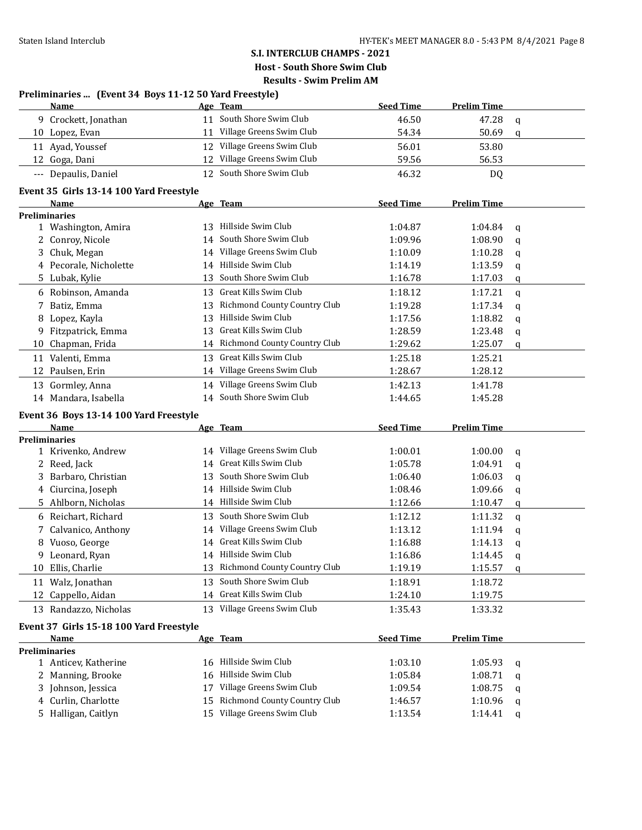|    | Preliminaries  (Event 34 Boys 11-12 50 Yard Freestyle) |    |                                 |                  |                    |             |
|----|--------------------------------------------------------|----|---------------------------------|------------------|--------------------|-------------|
|    | Name                                                   |    | Age Team                        | <b>Seed Time</b> | <b>Prelim Time</b> |             |
|    | 9 Crockett, Jonathan                                   |    | 11 South Shore Swim Club        | 46.50            | 47.28              | q           |
|    | 10 Lopez, Evan                                         |    | 11 Village Greens Swim Club     | 54.34            | 50.69              | q           |
|    | 11 Ayad, Youssef                                       |    | 12 Village Greens Swim Club     | 56.01            | 53.80              |             |
|    | 12 Goga, Dani                                          |    | 12 Village Greens Swim Club     | 59.56            | 56.53              |             |
|    | --- Depaulis, Daniel                                   |    | 12 South Shore Swim Club        | 46.32            | DQ                 |             |
|    | Event 35 Girls 13-14 100 Yard Freestyle                |    |                                 |                  |                    |             |
|    | Name                                                   |    | Age Team                        | <b>Seed Time</b> | <b>Prelim Time</b> |             |
|    | <b>Preliminaries</b>                                   |    |                                 |                  |                    |             |
|    | 1 Washington, Amira                                    |    | 13 Hillside Swim Club           | 1:04.87          | 1:04.84            | q           |
|    | 2 Conroy, Nicole                                       |    | 14 South Shore Swim Club        | 1:09.96          | 1:08.90            | q           |
|    | 3 Chuk, Megan                                          |    | 14 Village Greens Swim Club     | 1:10.09          | 1:10.28            | q           |
|    | 4 Pecorale, Nicholette                                 |    | 14 Hillside Swim Club           | 1:14.19          | 1:13.59            | q           |
|    | 5 Lubak, Kylie                                         | 13 | South Shore Swim Club           | 1:16.78          | 1:17.03            | q           |
|    | 6 Robinson, Amanda                                     | 13 | Great Kills Swim Club           | 1:18.12          | 1:17.21            | $\mathbf q$ |
| 7  | Batiz, Emma                                            | 13 | Richmond County Country Club    | 1:19.28          | 1:17.34            | q           |
|    | 8 Lopez, Kayla                                         | 13 | Hillside Swim Club              | 1:17.56          | 1:18.82            | q           |
|    | 9 Fitzpatrick, Emma                                    | 13 | Great Kills Swim Club           | 1:28.59          | 1:23.48            | q           |
|    | 10 Chapman, Frida                                      |    | 14 Richmond County Country Club | 1:29.62          | 1:25.07            | q           |
|    | 11 Valenti, Emma                                       | 13 | Great Kills Swim Club           | 1:25.18          | 1:25.21            |             |
| 12 | Paulsen, Erin                                          |    | 14 Village Greens Swim Club     | 1:28.67          | 1:28.12            |             |
|    | 13 Gormley, Anna                                       |    | 14 Village Greens Swim Club     | 1:42.13          | 1:41.78            |             |
|    | 14 Mandara, Isabella                                   |    | 14 South Shore Swim Club        | 1:44.65          | 1:45.28            |             |
|    |                                                        |    |                                 |                  |                    |             |
|    | Event 36 Boys 13-14 100 Yard Freestyle<br>Name         |    | Age Team                        | <b>Seed Time</b> | <b>Prelim Time</b> |             |
|    | <b>Preliminaries</b>                                   |    |                                 |                  |                    |             |
|    | 1 Krivenko, Andrew                                     |    | 14 Village Greens Swim Club     | 1:00.01          | 1:00.00            | q           |
|    | 2 Reed, Jack                                           | 14 | Great Kills Swim Club           | 1:05.78          | 1:04.91            | q           |
| 3  | Barbaro, Christian                                     | 13 | South Shore Swim Club           | 1:06.40          | 1:06.03            | q           |
|    | 4 Ciurcina, Joseph                                     |    | 14 Hillside Swim Club           | 1:08.46          | 1:09.66            | q           |
| 5. | Ahlborn, Nicholas                                      |    | 14 Hillside Swim Club           | 1:12.66          | 1:10.47            | q           |
|    | 6 Reichart, Richard                                    |    | 13 South Shore Swim Club        | 1:12.12          | 1:11.32            | q           |
|    | 7 Calvanico, Anthony                                   |    | 14 Village Greens Swim Club     | 1:13.12          | 1:11.94            | q           |
| 8  | Vuoso, George                                          |    | 14 Great Kills Swim Club        | 1:16.88          | 1:14.13            | q           |
|    | 9 Leonard, Ryan                                        |    | 14 Hillside Swim Club           | 1:16.86          | 1:14.45            | $\Omega$    |
|    | 10 Ellis, Charlie                                      |    | 13 Richmond County Country Club | 1:19.19          | 1:15.57            |             |
|    |                                                        |    | South Shore Swim Club           |                  |                    | q           |
|    | 11 Walz, Jonathan                                      | 13 | 14 Great Kills Swim Club        | 1:18.91          | 1:18.72            |             |
|    | 12 Cappello, Aidan                                     |    |                                 | 1:24.10          | 1:19.75            |             |
|    | 13 Randazzo, Nicholas                                  |    | 13 Village Greens Swim Club     | 1:35.43          | 1:33.32            |             |
|    | Event 37 Girls 15-18 100 Yard Freestyle                |    |                                 |                  |                    |             |
|    | Name                                                   |    | Age Team                        | <b>Seed Time</b> | <b>Prelim Time</b> |             |
|    | <b>Preliminaries</b>                                   |    |                                 |                  |                    |             |
|    | 1 Anticev, Katherine                                   |    | 16 Hillside Swim Club           | 1:03.10          | 1:05.93            | q           |
| 2  | Manning, Brooke                                        |    | 16 Hillside Swim Club           | 1:05.84          | 1:08.71            | q           |
| 3  | Johnson, Jessica                                       | 17 | Village Greens Swim Club        | 1:09.54          | 1:08.75            | q           |
| 4  | Curlin, Charlotte                                      | 15 | Richmond County Country Club    | 1:46.57          | 1:10.96            | q           |
|    | 5 Halligan, Caitlyn                                    |    | 15 Village Greens Swim Club     | 1:13.54          | 1:14.41            | q           |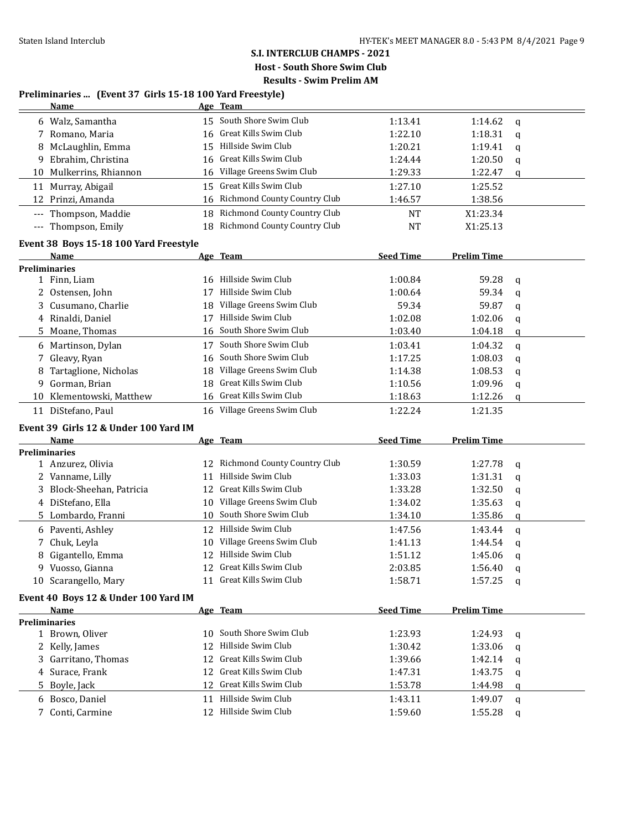## **S.I. INTERCLUB CHAMPS - 2021 Host - South Shore Swim Club**

**Results - Swim Prelim AM**

| Preliminaries  (Event 37 Girls 15-18 100 Yard Freestyle) |  |  |
|----------------------------------------------------------|--|--|
|                                                          |  |  |

|                   | <u>Name</u>                              |     | Age Team                        |                  |                    |                  |
|-------------------|------------------------------------------|-----|---------------------------------|------------------|--------------------|------------------|
|                   | 6 Walz, Samantha                         |     | 15 South Shore Swim Club        | 1:13.41          | 1:14.62            | $\mathbf q$      |
|                   | 7 Romano, Maria                          |     | 16 Great Kills Swim Club        | 1:22.10          | 1:18.31            | $\mathbf q$      |
| 8                 | McLaughlin, Emma                         |     | 15 Hillside Swim Club           | 1:20.21          | 1:19.41            | q                |
| 9.                | Ebrahim, Christina                       | 16  | Great Kills Swim Club           | 1:24.44          | 1:20.50            | q                |
|                   | 10 Mulkerrins, Rhiannon                  | 16  | Village Greens Swim Club        | 1:29.33          | 1:22.47            | q                |
|                   | 11 Murray, Abigail                       | 15  | Great Kills Swim Club           | 1:27.10          | 1:25.52            |                  |
|                   | 12 Prinzi, Amanda                        | 16  | Richmond County Country Club    | 1:46.57          | 1:38.56            |                  |
| $---$             | Thompson, Maddie                         | 18  | Richmond County Country Club    | <b>NT</b>        | X1:23.34           |                  |
| $\qquad \qquad -$ | Thompson, Emily                          |     | 18 Richmond County Country Club | <b>NT</b>        | X1:25.13           |                  |
|                   | Event 38 Boys 15-18 100 Yard Freestyle   |     |                                 |                  |                    |                  |
|                   | Name                                     |     | Age Team                        | <b>Seed Time</b> | <b>Prelim Time</b> |                  |
|                   | <b>Preliminaries</b>                     |     |                                 |                  |                    |                  |
|                   | 1 Finn, Liam                             | 16  | Hillside Swim Club              | 1:00.84          | 59.28              | $\mathbf q$      |
| 2                 | Ostensen, John                           | 17  | Hillside Swim Club              | 1:00.64          | 59.34              | q                |
|                   | Cusumano, Charlie                        | 18  | Village Greens Swim Club        | 59.34            | 59.87              | q                |
|                   | 4 Rinaldi, Daniel                        | 17  | Hillside Swim Club              | 1:02.08          | 1:02.06            | q                |
|                   | 5 Moane, Thomas                          | 16  | South Shore Swim Club           | 1:03.40          | 1:04.18            | q                |
|                   | 6 Martinson, Dylan                       |     | 17 South Shore Swim Club        | 1:03.41          | 1:04.32            | $\mathbf q$      |
|                   | 7 Gleavy, Ryan                           | 16  | South Shore Swim Club           | 1:17.25          | 1:08.03            | q                |
| 8                 | Tartaglione, Nicholas                    | 18  | Village Greens Swim Club        | 1:14.38          | 1:08.53            | q                |
| 9.                | Gorman, Brian                            | 18  | Great Kills Swim Club           | 1:10.56          | 1:09.96            | q                |
| 10                | Klementowski, Matthew                    |     | 16 Great Kills Swim Club        | 1:18.63          | 1:12.26            | q                |
|                   | 11 DiStefano, Paul                       |     | 16 Village Greens Swim Club     | 1:22.24          | 1:21.35            |                  |
|                   | Event 39 Girls 12 & Under 100 Yard IM    |     |                                 |                  |                    |                  |
|                   | Name                                     |     | Age Team                        | <b>Seed Time</b> | <b>Prelim Time</b> |                  |
|                   | <b>Preliminaries</b>                     |     |                                 |                  |                    |                  |
|                   | 1 Anzurez, Olivia                        | 12  | Richmond County Country Club    | 1:30.59          | 1:27.78            | q                |
|                   | 2 Vanname, Lilly                         | 11  | Hillside Swim Club              | 1:33.03          | 1:31.31            | q                |
|                   | Block-Sheehan, Patricia                  | 12  | Great Kills Swim Club           | 1:33.28          | 1:32.50            | q                |
|                   | 4 DiStefano, Ella                        | 10  | Village Greens Swim Club        | 1:34.02          | 1:35.63            | q                |
|                   | 5 Lombardo, Franni                       | 10  | South Shore Swim Club           | 1:34.10          | 1:35.86            | q                |
|                   | 6 Paventi, Ashley                        |     | 12 Hillside Swim Club           | 1:47.56          | 1:43.44            | q                |
| 7                 | Chuk, Leyla                              | 10  | Village Greens Swim Club        | 1:41.13          | 1:44.54            | q                |
| 8                 | Gigantello, Emma                         |     | 12 Hillside Swim Club           | 1:51.12          | 1:45.06            | q                |
|                   |                                          |     |                                 |                  |                    |                  |
|                   |                                          |     | 12 Great Kills Swim Club        | 2:03.85          |                    |                  |
|                   | 9 Vuosso, Gianna<br>10 Scarangello, Mary |     | 11 Great Kills Swim Club        | 1:58.71          | 1:56.40<br>1:57.25 | $\mathbf q$<br>q |
|                   | Event 40 Boys 12 & Under 100 Yard IM     |     |                                 |                  |                    |                  |
|                   | <b>Name</b>                              |     | Age Team                        | <b>Seed Time</b> | <b>Prelim Time</b> |                  |
|                   | Preliminaries                            |     |                                 |                  |                    |                  |
|                   | 1 Brown, Oliver                          | 10. | South Shore Swim Club           | 1:23.93          | 1:24.93            | q                |
|                   | 2 Kelly, James                           | 12  | Hillside Swim Club              | 1:30.42          | 1:33.06            | a                |
|                   | 3 Garritano, Thomas                      | 12  | Great Kills Swim Club           | 1:39.66          | 1:42.14            | q                |
|                   | 4 Surace, Frank                          | 12  | Great Kills Swim Club           | 1:47.31          | 1:43.75            | q                |
|                   | 5 Boyle, Jack                            | 12  | Great Kills Swim Club           | 1:53.78          | 1:44.98            | q                |
|                   | 6 Bosco, Daniel                          | 11  | Hillside Swim Club              | 1:43.11          | 1:49.07            | q                |